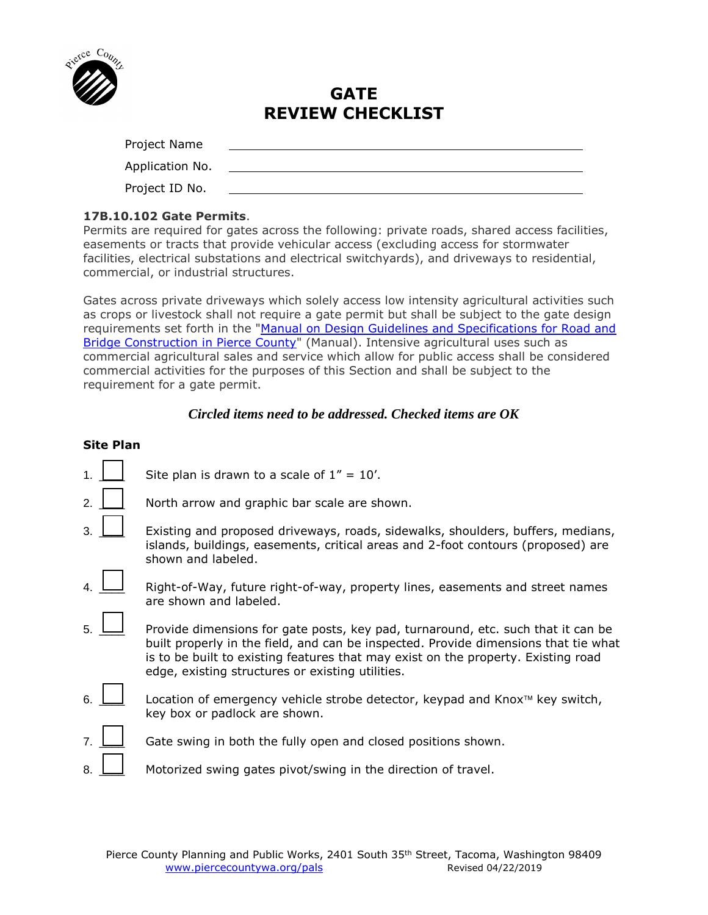

# **GATE REVIEW CHECKLIST**

| Project Name    |  |
|-----------------|--|
| Application No. |  |
| Project ID No.  |  |
|                 |  |

# **17B.10.102 Gate Permits**.

Permits are required for gates across the following: private roads, shared access facilities, easements or tracts that provide vehicular access (excluding access for stormwater facilities, electrical substations and electrical switchyards), and driveways to residential, commercial, or industrial structures.

Gates across private driveways which solely access low intensity agricultural activities such as crops or livestock shall not require a gate permit but shall be subject to the gate design requirements set forth in the "Manual on Design Guidelines and Specifications for Road and [Bridge Construction in Pierce County"](https://www.co.pierce.wa.us/6223/Design-Manual) (Manual). Intensive agricultural uses such as commercial agricultural sales and service which allow for public access shall be considered commercial activities for the purposes of this Section and shall be subject to the requirement for a gate permit.

# *Circled items need to be addressed. Checked items are OK*

## **Site Plan**

|    | Site plan is drawn to a scale of $1'' = 10'$ .                                                                                                                                                                                                                                                                   |
|----|------------------------------------------------------------------------------------------------------------------------------------------------------------------------------------------------------------------------------------------------------------------------------------------------------------------|
| 2. | North arrow and graphic bar scale are shown.                                                                                                                                                                                                                                                                     |
| 3. | Existing and proposed driveways, roads, sidewalks, shoulders, buffers, medians,<br>islands, buildings, easements, critical areas and 2-foot contours (proposed) are<br>shown and labeled.                                                                                                                        |
|    | Right-of-Way, future right-of-way, property lines, easements and street names<br>are shown and labeled.                                                                                                                                                                                                          |
| 5  | Provide dimensions for gate posts, key pad, turnaround, etc. such that it can be<br>built properly in the field, and can be inspected. Provide dimensions that tie what<br>is to be built to existing features that may exist on the property. Existing road<br>edge, existing structures or existing utilities. |
| 6  | Location of emergency vehicle strobe detector, keypad and Knox™ key switch,<br>key box or padlock are shown.                                                                                                                                                                                                     |
|    | Gate swing in both the fully open and closed positions shown.                                                                                                                                                                                                                                                    |
| 8. | Motorized swing gates pivot/swing in the direction of travel.                                                                                                                                                                                                                                                    |
|    |                                                                                                                                                                                                                                                                                                                  |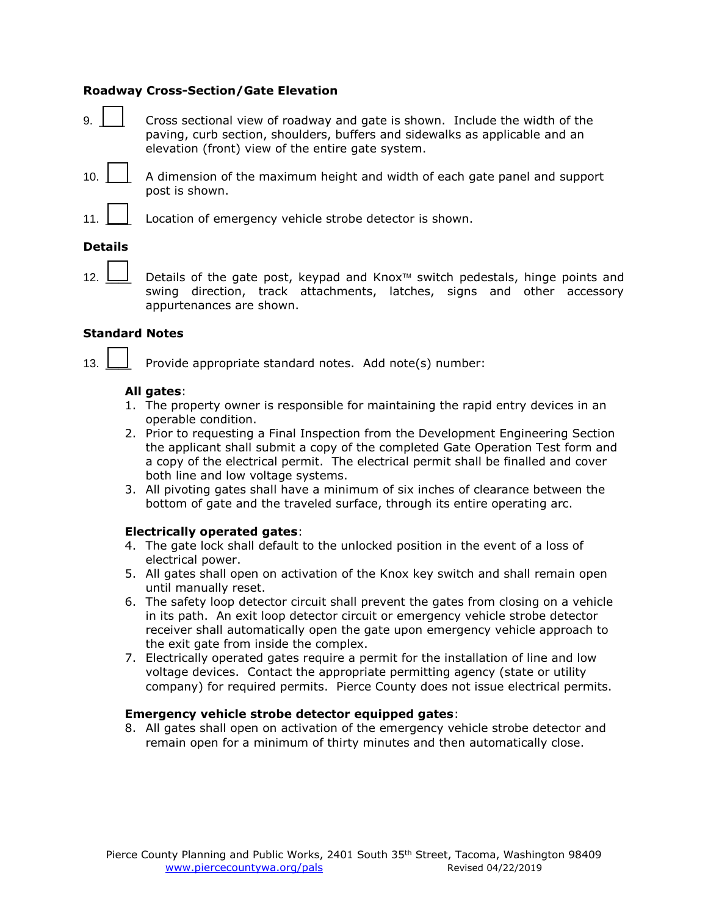## **Roadway Cross-Section/Gate Elevation**

- 9. **EXECR** Cross sectional view of roadway and gate is shown. Include the width of the paving, curb section, shoulders, buffers and sidewalks as applicable and an elevation (front) view of the entire gate system.
- 10.  $\Box$  A dimension of the maximum height and width of each gate panel and support post is shown.
- 11. **I** Cocation of emergency vehicle strobe detector is shown.

#### **Details**

12.  $\Box$  Details of the gate post, keypad and Knox<sup> $M$ </sup> switch pedestals, hinge points and swing direction, track attachments, latches, signs and other accessory appurtenances are shown.

#### **Standard Notes**

13.  $\Box$  Provide appropriate standard notes. Add note(s) number:

#### **All gates**:

- 1. The property owner is responsible for maintaining the rapid entry devices in an operable condition.
- 2. Prior to requesting a Final Inspection from the Development Engineering Section the applicant shall submit a copy of the completed Gate Operation Test form and a copy of the electrical permit. The electrical permit shall be finalled and cover both line and low voltage systems.
- 3. All pivoting gates shall have a minimum of six inches of clearance between the bottom of gate and the traveled surface, through its entire operating arc.

#### **Electrically operated gates**:

- 4. The gate lock shall default to the unlocked position in the event of a loss of electrical power.
- 5. All gates shall open on activation of the Knox key switch and shall remain open until manually reset.
- 6. The safety loop detector circuit shall prevent the gates from closing on a vehicle in its path. An exit loop detector circuit or emergency vehicle strobe detector receiver shall automatically open the gate upon emergency vehicle approach to the exit gate from inside the complex.
- 7. Electrically operated gates require a permit for the installation of line and low voltage devices. Contact the appropriate permitting agency (state or utility company) for required permits. Pierce County does not issue electrical permits.

#### **Emergency vehicle strobe detector equipped gates**:

8. All gates shall open on activation of the emergency vehicle strobe detector and remain open for a minimum of thirty minutes and then automatically close.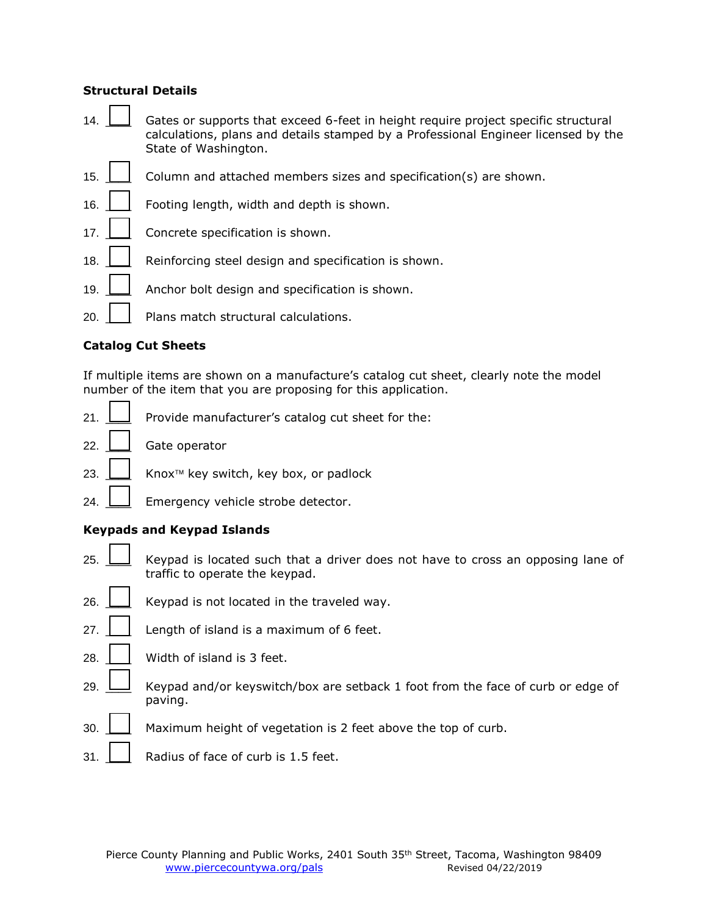## **Structural Details**

- 14.  $\Box$  Gates or supports that exceed 6-feet in height require project specific structural calculations, plans and details stamped by a Professional Engineer licensed by the State of Washington.
- 15.  $\Box$  Column and attached members sizes and specification(s) are shown.
- 16.  $\vert$  Footing length, width and depth is shown.
- 17.  $\Box$  Concrete specification is shown.
- 18.  $\Box$  Reinforcing steel design and specification is shown.
- 19.  $\Box$  Anchor bolt design and specification is shown.
- 20. | | Plans match structural calculations.

## **Catalog Cut Sheets**

If multiple items are shown on a manufacture's catalog cut sheet, clearly note the model number of the item that you are proposing for this application.

- 21.  $\Box$  Provide manufacturer's catalog cut sheet for the:
- 22. **\_\_\_\_\_\_** Gate operator
- 23.  $□$  Knox<sup>™</sup> key switch, key box, or padlock
- 24.  $\Box$  Emergency vehicle strobe detector.

# **Keypads and Keypad Islands**

- 25.  $\Box$  Keypad is located such that a driver does not have to cross an opposing lane of traffic to operate the keypad.
- 26.  $\Box$  Keypad is not located in the traveled way.
- 27.  $\Box$  Length of island is a maximum of 6 feet.
- 28.  $\Box$  Width of island is 3 feet.
- 29.  $\Box$  Keypad and/or keyswitch/box are setback 1 foot from the face of curb or edge of paving.
- $30.$   $\Box$  Maximum height of vegetation is 2 feet above the top of curb.
- 31.  $\vert$  Radius of face of curb is 1.5 feet.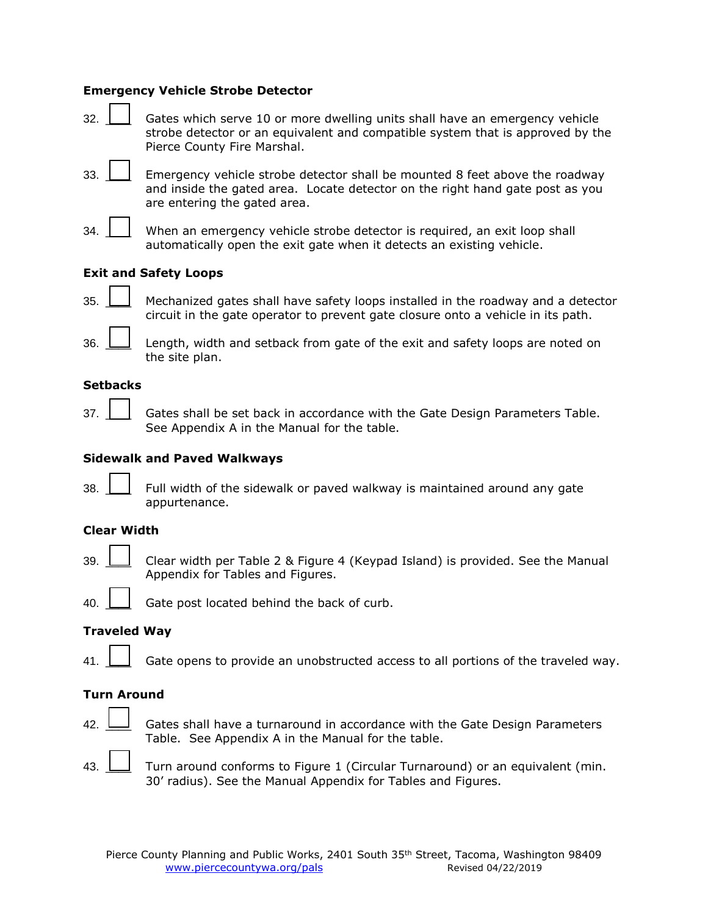## **Emergency Vehicle Strobe Detector**

- 32. \_\_\_\_ Gates which serve 10 or more dwelling units shall have an emergency vehicle strobe detector or an equivalent and compatible system that is approved by the Pierce County Fire Marshal.
- 33. \_\_\_\_ Emergency vehicle strobe detector shall be mounted 8 feet above the roadway and inside the gated area. Locate detector on the right hand gate post as you are entering the gated area.
- 34. When an emergency vehicle strobe detector is required, an exit loop shall automatically open the exit gate when it detects an existing vehicle.

# **Exit and Safety Loops**

35. \_\_\_\_ Mechanized gates shall have safety loops installed in the roadway and a detector circuit in the gate operator to prevent gate closure onto a vehicle in its path.



36.  $\Box$  Length, width and setback from gate of the exit and safety loops are noted on the site plan.

#### **Setbacks**

37. **Quart Contended States shall be set back in accordance with the Gate Design Parameters Table.** See Appendix A in the Manual for the table.

## **Sidewalk and Paved Walkways**

38.  $\Box$  Full width of the sidewalk or paved walkway is maintained around any gate appurtenance.

# **Clear Width**

39. \_\_\_\_ Clear width per Table 2 & Figure 4 (Keypad Island) is provided. See the Manual Appendix for Tables and Figures.

40.  $\Box$  Gate post located behind the back of curb.

#### **Traveled Way**

41.  $\Box$  Gate opens to provide an unobstructed access to all portions of the traveled way.

## **Turn Around**

42.  $\Box$  Gates shall have a turnaround in accordance with the Gate Design Parameters Table. See Appendix A in the Manual for the table.

43. <u>II</u> Turn around conforms to Figure 1 (Circular Turnaround) or an equivalent (min. 30' radius). See the Manual Appendix for Tables and Figures.